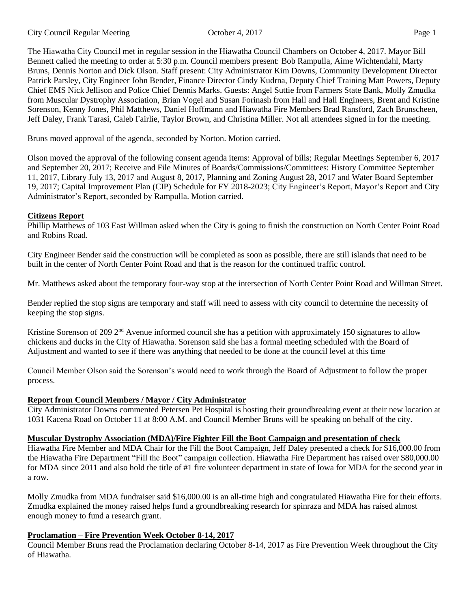The Hiawatha City Council met in regular session in the Hiawatha Council Chambers on October 4, 2017. Mayor Bill Bennett called the meeting to order at 5:30 p.m. Council members present: Bob Rampulla, Aime Wichtendahl, Marty Bruns, Dennis Norton and Dick Olson. Staff present: City Administrator Kim Downs, Community Development Director Patrick Parsley, City Engineer John Bender, Finance Director Cindy Kudrna, Deputy Chief Training Matt Powers, Deputy Chief EMS Nick Jellison and Police Chief Dennis Marks. Guests: Angel Suttie from Farmers State Bank, Molly Zmudka from Muscular Dystrophy Association, Brian Vogel and Susan Forinash from Hall and Hall Engineers, Brent and Kristine Sorenson, Kenny Jones, Phil Matthews, Daniel Hoffmann and Hiawatha Fire Members Brad Ransford, Zach Brunscheen, Jeff Daley, Frank Tarasi, Caleb Fairlie, Taylor Brown, and Christina Miller. Not all attendees signed in for the meeting.

Bruns moved approval of the agenda, seconded by Norton. Motion carried.

Olson moved the approval of the following consent agenda items: Approval of bills; Regular Meetings September 6, 2017 and September 20, 2017; Receive and File Minutes of Boards/Commissions/Committees: History Committee September 11, 2017, Library July 13, 2017 and August 8, 2017, Planning and Zoning August 28, 2017 and Water Board September 19, 2017; Capital Improvement Plan (CIP) Schedule for FY 2018-2023; City Engineer's Report, Mayor's Report and City Administrator's Report, seconded by Rampulla. Motion carried.

### **Citizens Report**

Phillip Matthews of 103 East Willman asked when the City is going to finish the construction on North Center Point Road and Robins Road.

City Engineer Bender said the construction will be completed as soon as possible, there are still islands that need to be built in the center of North Center Point Road and that is the reason for the continued traffic control.

Mr. Matthews asked about the temporary four-way stop at the intersection of North Center Point Road and Willman Street.

Bender replied the stop signs are temporary and staff will need to assess with city council to determine the necessity of keeping the stop signs.

Kristine Sorenson of 209  $2<sup>nd</sup>$  Avenue informed council she has a petition with approximately 150 signatures to allow chickens and ducks in the City of Hiawatha. Sorenson said she has a formal meeting scheduled with the Board of Adjustment and wanted to see if there was anything that needed to be done at the council level at this time

Council Member Olson said the Sorenson's would need to work through the Board of Adjustment to follow the proper process.

## **Report from Council Members / Mayor / City Administrator**

City Administrator Downs commented Petersen Pet Hospital is hosting their groundbreaking event at their new location at 1031 Kacena Road on October 11 at 8:00 A.M. and Council Member Bruns will be speaking on behalf of the city.

## **Muscular Dystrophy Association (MDA)/Fire Fighter Fill the Boot Campaign and presentation of check**

Hiawatha Fire Member and MDA Chair for the Fill the Boot Campaign, Jeff Daley presented a check for \$16,000.00 from the Hiawatha Fire Department "Fill the Boot" campaign collection. Hiawatha Fire Department has raised over \$80,000.00 for MDA since 2011 and also hold the title of #1 fire volunteer department in state of Iowa for MDA for the second year in a row.

Molly Zmudka from MDA fundraiser said \$16,000.00 is an all-time high and congratulated Hiawatha Fire for their efforts. Zmudka explained the money raised helps fund a groundbreaking research for spinraza and MDA has raised almost enough money to fund a research grant.

## **Proclamation – Fire Prevention Week October 8-14, 2017**

Council Member Bruns read the Proclamation declaring October 8-14, 2017 as Fire Prevention Week throughout the City of Hiawatha.